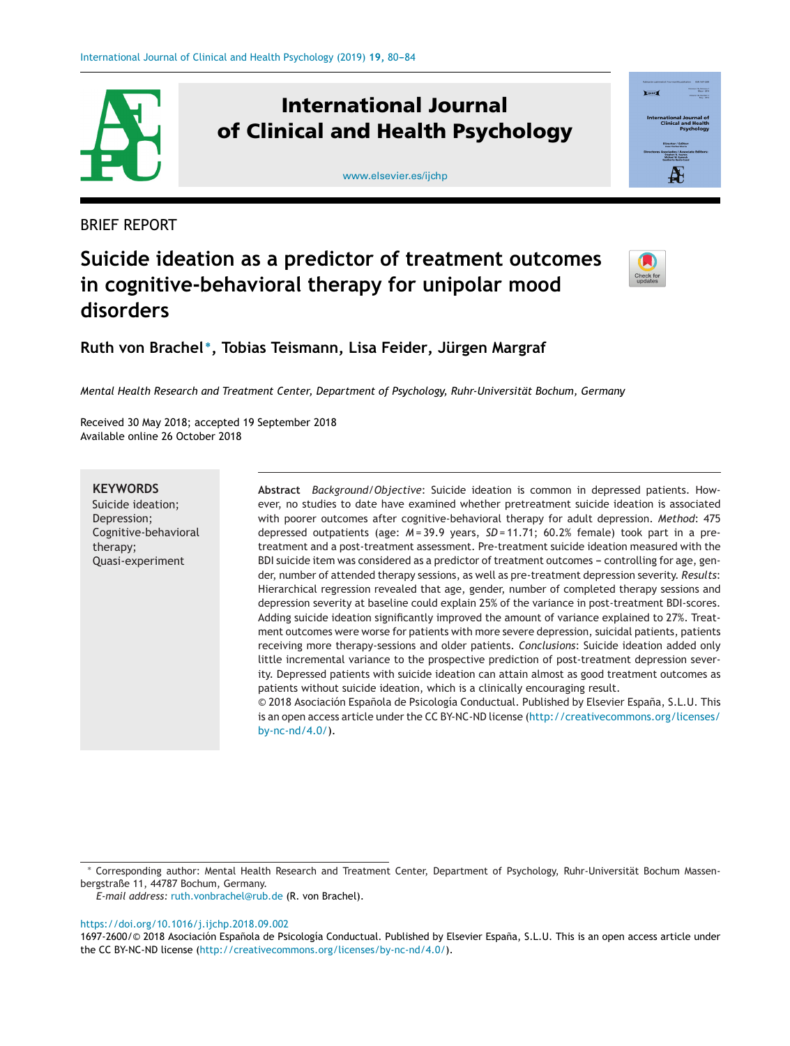

# **International Journal of Clinical and Health Psychology**



BRIEF REPORT



# **Suicide ideation as a predictor of treatment outcomes in cognitive-behavioral therapy for unipolar mood disorders**



**Ruth von Brachel <sup>∗</sup>, Tobias Teismann, Lisa Feider, Jürgen Margraf**

*Mental Health Research and Treatment Center, Department of Psychology, Ruhr-Universität Bochum, Germany*

Received 30 May 2018; accepted 19 September 2018 Available online 26 October 2018

**KEYWORDS** Suicide ideation; Depression; Cognitive-behavioral therapy; Quasi-experiment

**Abstract** *Background/Objective*: Suicide ideation is common in depressed patients. However, no studies to date have examined whether pretreatment suicide ideation is associated with poorer outcomes after cognitive-behavioral therapy for adult depression. *Method*: 475 depressed outpatients (age:  $M = 39.9$  years,  $SD = 11.71$ ; 60.2% female) took part in a pretreatment and a post-treatment assessment. Pre-treatment suicide ideation measured with the BDI suicide item was considered as a predictor of treatment outcomes - controlling for age, gender, number of attended therapy sessions, as well as pre-treatment depression severity. *Results*: Hierarchical regression revealed that age, gender, number of completed therapy sessions and depression severity at baseline could explain 25% of the variance in post-treatment BDI-scores. Adding suicide ideation significantly improved the amount of variance explained to 27%. Treatment outcomes were worse for patients with more severe depression, suicidal patients, patients receiving more therapy-sessions and older patients. *Conclusions*: Suicide ideation added only little incremental variance to the prospective prediction of post-treatment depression severity. Depressed patients with suicide ideation can attain almost as good treatment outcomes as patients without suicide ideation, which is a clinically encouraging result. © 2018 Asociación Española de Psicología Conductual. Published by Elsevier España, S.L.U. This

is an open access article under the CC BY-NC-ND license ([http://creativecommons.org/licenses/](http://creativecommons.org/licenses/by-nc-nd/4.0/) [by-nc-nd/4.0/\)](http://creativecommons.org/licenses/by-nc-nd/4.0/).

*E-mail address:* [ruth.vonbrachel@rub.de](mailto:ruth.vonbrachel@rub.de) (R. von Brachel).

<https://doi.org/10.1016/j.ijchp.2018.09.002>

<sup>∗</sup> Corresponding author: Mental Health Research and Treatment Center, Department of Psychology, Ruhr-Universität Bochum Massenbergstraße 11, 44787 Bochum, Germany.

<sup>1697-2600/© 2018</sup> Asociación Española de Psicología Conductual. Published by Elsevier España, S.L.U. This is an open access article under the CC BY-NC-ND license [\(http://creativecommons.org/licenses/by-nc-nd/4.0/\)](http://creativecommons.org/licenses/by-nc-nd/4.0/).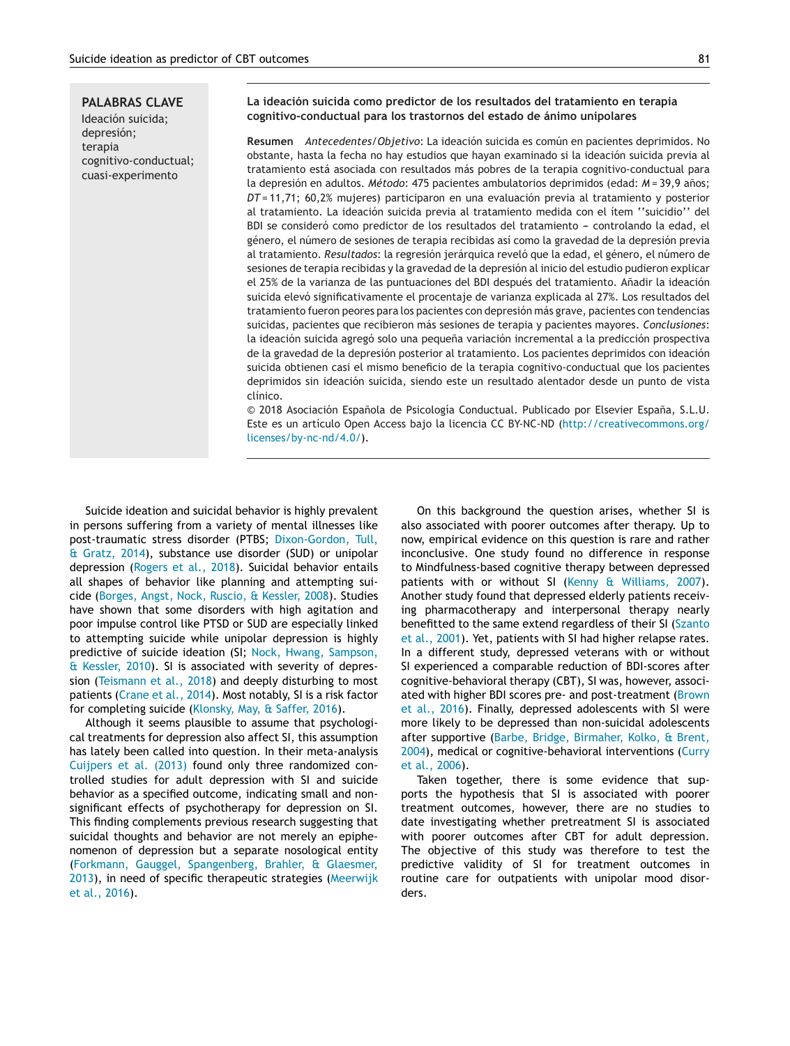**PALABRAS CLAVE** Ideación suicida; depresión; terapia cognitivo-conductual; cuasi-experimento

### **La ideación suicida como predictor de los resultados del tratamiento en terapia cognitivo-conductual para los trastornos del estado de ánimo unipolares**

**Resumen** *Antecedentes/Objetivo*: La ideación suicida es común en pacientes deprimidos. No obstante, hasta la fecha no hay estudios que hayan examinado si la ideación suicida previa al tratamiento está asociada con resultados más pobres de la terapia cognitivo-conductual para la depresión en adultos. *Método*: 475 pacientes ambulatorios deprimidos (edad: *M* = 39,9 años; *DT* = 11,71; 60,2% mujeres) participaron en una evaluación previa al tratamiento y posterior al tratamiento. La ideación suicida previa al tratamiento medida con el ítem ''suicidio'' del BDI se consideró como predictor de los resultados del tratamiento - controlando la edad, el género, el número de sesiones de terapia recibidas así como la gravedad de la depresión previa al tratamiento. *Resultados*: la regresión jerárquica reveló que la edad, el género, el número de sesiones de terapia recibidas y la gravedad de la depresión al inicio del estudio pudieron explicar el 25% de la varianza de las puntuaciones del BDI después del tratamiento. Añadir la ideación suicida elevó significativamente el procentaje de varianza explicada al 27%. Los resultados del tratamiento fueron peores para los pacientes con depresión más grave, pacientes con tendencias suicidas, pacientes que recibieron más sesiones de terapia y pacientes mayores. *Conclusiones*: la ideación suicida agregó solo una pequeña variación incremental a la predicción prospectiva de la gravedad de la depresión posterior al tratamiento. Los pacientes deprimidos con ideación suicida obtienen casi el mismo beneficio de la terapia cognitivo-conductual que los pacientes deprimidos sin ideación suicida, siendo este un resultado alentador desde un punto de vista clínico.

 $©$  2018 Asociación Española de Psicología Conductual. Publicado por Elsevier España, S.L.U. Este es un artículo Open Access bajo la licencia CC BY-NC-ND ([http://creativecommons.org/](http://creativecommons.org/licenses/by-nc-nd/4.0/) [licenses/by-nc-nd/4.0/](http://creativecommons.org/licenses/by-nc-nd/4.0/)).

Suicide ideation and suicidal behavior is highly prevalent in persons suffering from a variety of mental illnesses like post-traumatic stress disorder (PTBS; [Dixon-Gordon, Tull,](#page-3-0) [& Gratz, 2014\),](#page-3-0) substance use disorder (SUD) or unipolar depression [\(Rogers et al., 2018\).](#page-4-0) Suicidal behavior entails all shapes of behavior like planning and attempting suicide [\(Borges, Angst, Nock, Ruscio, & Kessler, 2008\).](#page-3-0) Studies have shown that some disorders with high agitation and poor impulse control like PTSD or SUD are especially linked to attempting suicide while unipolar depression is highly predictive of suicide ideation (SI; [Nock, Hwang, Sampson,](#page-4-0) [& Kessler, 2010\).](#page-4-0) SI is associated with severity of depression ([Teismann et al., 2018\)](#page-4-0) and deeply disturbing to most patients ([Crane et al., 2014\).](#page-3-0) Most notably, SI is a risk factor for completing suicide [\(Klonsky, May, & Saffer, 2016\).](#page-4-0)

Although it seems plausible to assume that psychological treatments for depression also affect SI, this assumption has lately been called into question. In their meta-analysis [Cuijpers et al. \(2013\)](#page-3-0) found only three randomized controlled studies for adult depression with SI and suicide behavior as a specified outcome, indicating small and nonsignificant effects of psychotherapy for depression on SI. This finding complements previous research suggesting that suicidal thoughts and behavior are not merely an epiphenomenon of depression but a separate nosological entity ([Forkmann, Gauggel, Spangenberg, Brahler, & Glaesmer,](#page-3-0) [2013\),](#page-3-0) in need of specific therapeutic strategies ([Meerwijk](#page-4-0) [et al., 2016\).](#page-4-0)

On this background the question arises, whether SI is also associated with poorer outcomes after therapy. Up to now, empirical evidence on this question is rare and rather inconclusive. One study found no difference in response to Mindfulness-based cognitive therapy between depressed patients with or without SI [\(Kenny & Williams, 2007\).](#page-4-0) Another study found that depressed elderly patients receiving pharmacotherapy and interpersonal therapy nearly benefitted to the same extend regardless of their SI [\(Szanto](#page-4-0) [et al., 2001\).](#page-4-0) Yet, patients with SI had higher relapse rates. In a different study, depressed veterans with or without SI experienced a comparable reduction of BDI-scores after cognitive-behavioral therapy (CBT), SI was, however, associated with higher BDI scores pre- and post-treatment ([Brown](#page-3-0) [et al., 2016\).](#page-3-0) Finally, depressed adolescents with SI were more likely to be depressed than non-suicidal adolescents after supportive ([Barbe, Bridge, Birmaher, Kolko, & Brent,](#page-3-0) [2004\),](#page-3-0) medical or cognitive-behavioral interventions ([Curry](#page-3-0) [et al., 2006\).](#page-3-0)

Taken together, there is some evidence that supports the hypothesis that SI is associated with poorer treatment outcomes, however, there are no studies to date investigating whether pretreatment SI is associated with poorer outcomes after CBT for adult depression. The objective of this study was therefore to test the predictive validity of SI for treatment outcomes in routine care for outpatients with unipolar mood disorders.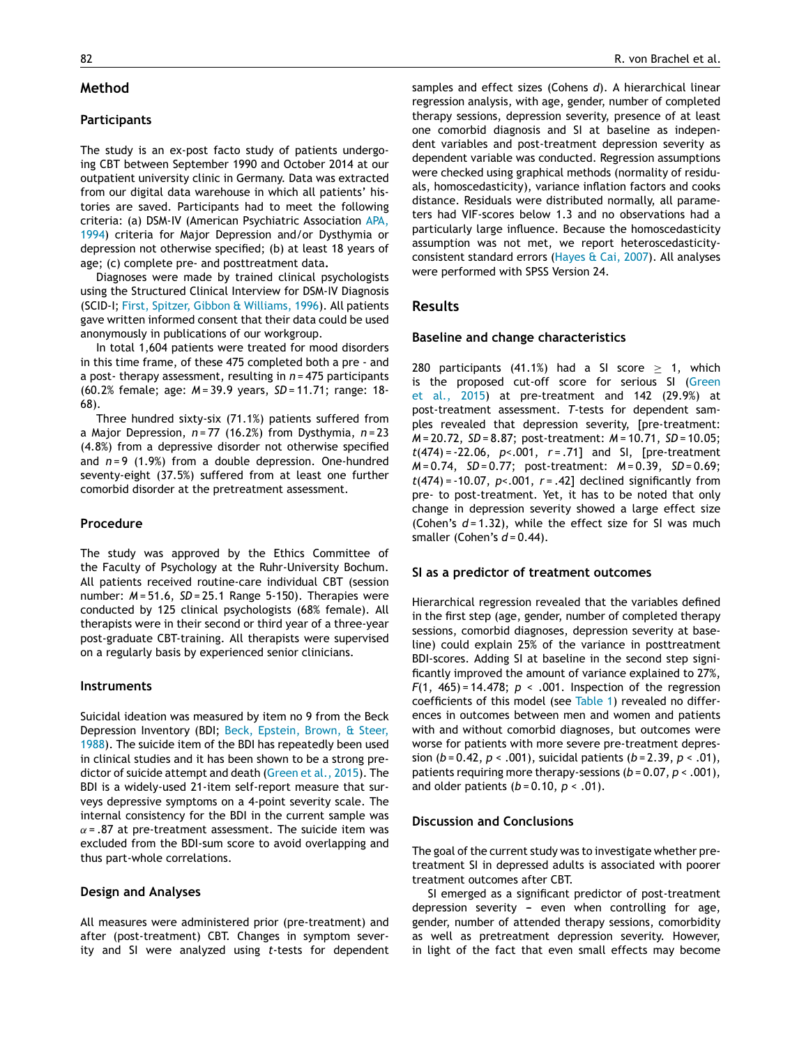## **Method**

## **Participants**

The study is an ex-post facto study of patients undergoing CBT between September 1990 and October 2014 at our outpatient university clinic in Germany. Data was extracted from our digital data warehouse in which all patients' histories are saved. Participants had to meet the following criteria: (a) DSM-IV (American Psychiatric Association [APA,](#page-3-0) [1994\)](#page-3-0) criteria for Major Depression and/or Dysthymia or depression not otherwise specified; (b) at least 18 years of age; (c) complete pre- and posttreatment data**.**

Diagnoses were made by trained clinical psychologists using the Structured Clinical Interview for DSM-IV Diagnosis (SCID-I; [First, Spitzer, Gibbon & Williams, 1996\).](#page-3-0) All patients gave written informed consent that their data could be used anonymously in publications of our workgroup.

In total 1,604 patients were treated for mood disorders in this time frame, of these 475 completed both a pre - and a post- therapy assessment, resulting in *n* = 475 participants (60.2% female; age: *M* = 39.9 years, *SD* = 11.71; range: 18- 68).

Three hundred sixty-six (71.1%) patients suffered from a Major Depression, *n* = 77 (16.2%) from Dysthymia, *n* = 23 (4.8%) from a depressive disorder not otherwise specified and *n* = 9 (1.9%) from a double depression. One-hundred seventy-eight (37.5%) suffered from at least one further comorbid disorder at the pretreatment assessment.

## **Procedure**

The study was approved by the Ethics Committee of the Faculty of Psychology at the Ruhr-University Bochum. All patients received routine-care individual CBT (session number: *M* = 51.6, *SD* = 25.1 Range 5-150). Therapies were conducted by 125 clinical psychologists (68% female). All therapists were in their second or third year of a three-year post-graduate CBT-training. All therapists were supervised on a regularly basis by experienced senior clinicians.

### **Instruments**

Suicidal ideation was measured by item no 9 from the Beck Depression Inventory (BDI; [Beck, Epstein, Brown, & Steer,](#page-3-0) [1988\).](#page-3-0) The suicide item of the BDI has repeatedly been used in clinical studies and it has been shown to be a strong predictor of suicide attempt and death ([Green et al., 2015\).](#page-4-0) The BDI is a widely-used 21-item self-report measure that surveys depressive symptoms on a 4-point severity scale. The internal consistency for the BDI in the current sample was  $\alpha$  = .87 at pre-treatment assessment. The suicide item was excluded from the BDI-sum score to avoid overlapping and thus part-whole correlations.

### **Design and Analyses**

All measures were administered prior (pre-treatment) and after (post-treatment) CBT. Changes in symptom severity and SI were analyzed using *t*-tests for dependent

samples and effect sizes (Cohens *d*). A hierarchical linear regression analysis, with age, gender, number of completed therapy sessions, depression severity, presence of at least one comorbid diagnosis and SI at baseline as independent variables and post-treatment depression severity as dependent variable was conducted. Regression assumptions were checked using graphical methods (normality of residuals, homoscedasticity), variance inflation factors and cooks distance. Residuals were distributed normally, all parameters had VIF-scores below 1.3 and no observations had a particularly large influence. Because the homoscedasticity assumption was not met, we report heteroscedasticityconsistent standard errors ([Hayes & Cai, 2007\).](#page-4-0) All analyses were performed with SPSS Version 24.

# **Results**

#### **Baseline and change characteristics**

280 participants (41.1%) had a SI score  $\geq$  1, which is the proposed cut-off score for serious SI ([Green](#page-4-0) [et al., 2015\)](#page-4-0) at pre-treatment and 142 (29.9%) at post-treatment assessment. *T*-tests for dependent samples revealed that depression severity, [pre-treatment: *M* = 20.72, *SD* = 8.87; post-treatment: *M* = 10.71, *SD* = 10.05; *t*(474) = -22.06, *p*<.001, *r* = .71] and SI, [pre-treatment *M* = 0.74, *SD* = 0.77; post-treatment: *M* = 0.39, *SD* = 0.69; *t*(474) = -10.07, *p*<.001, *r* = .42] declined significantly from pre- to post-treatment. Yet, it has to be noted that only change in depression severity showed a large effect size (Cohen's *d* = 1.32), while the effect size for SI was much smaller (Cohen's *d* = 0.44).

#### **SI as a predictor of treatment outcomes**

Hierarchical regression revealed that the variables defined in the first step (age, gender, number of completed therapy sessions, comorbid diagnoses, depression severity at baseline) could explain 25% of the variance in posttreatment BDI-scores. Adding SI at baseline in the second step significantly improved the amount of variance explained to 27%, *F*(1, 465) = 14.478; *p* < .001. Inspection of the regression coefficients of this model (see [Table 1\)](#page-3-0) revealed no differences in outcomes between men and women and patients with and without comorbid diagnoses, but outcomes were worse for patients with more severe pre-treatment depression (*b* = 0.42, *p* < .001), suicidal patients (*b* = 2.39, *p* < .01), patients requiring more therapy-sessions (*b* = 0.07, *p* < .001), and older patients (*b* = 0.10, *p* < .01).

#### **Discussion and Conclusions**

The goal of the current study was to investigate whether pretreatment SI in depressed adults is associated with poorer treatment outcomes after CBT.

SI emerged as a significant predictor of post-treatment depression severity – even when controlling for age, gender, number of attended therapy sessions, comorbidity as well as pretreatment depression severity. However, in light of the fact that even small effects may become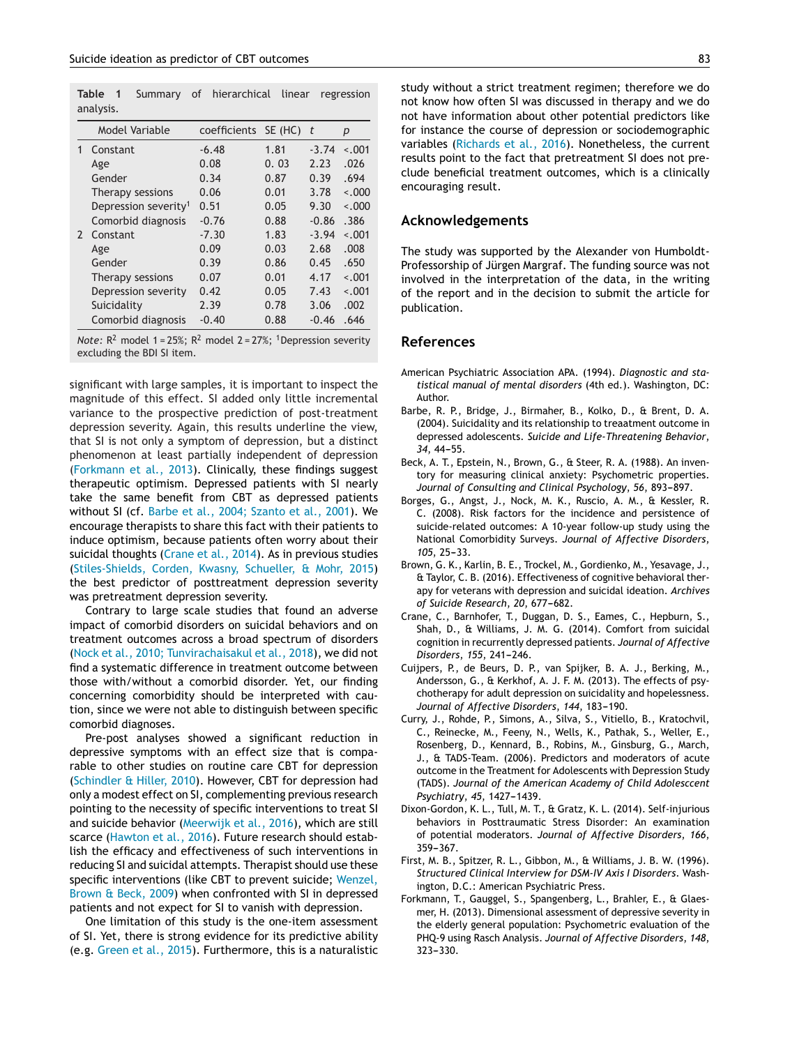<span id="page-3-0"></span>**Table 1** Summary of hierarchical linear regression analysis.

|               | Model Variable                   | coefficients SE (HC) |      | t       | р       |
|---------------|----------------------------------|----------------------|------|---------|---------|
|               | Constant                         | $-6.48$              | 1.81 | $-3.74$ | $-.001$ |
|               | Age                              | 0.08                 | 0.03 | 2.23    | .026    |
|               | Gender                           | 0.34                 | 0.87 | 0.39    | .694    |
|               | Therapy sessions                 | 0.06                 | 0.01 | 3.78    | $-.000$ |
|               | Depression severity <sup>1</sup> | 0.51                 | 0.05 | 9.30    | $-.000$ |
|               | Comorbid diagnosis               | $-0.76$              | 0.88 | $-0.86$ | .386    |
| $\mathcal{P}$ | Constant                         | $-7.30$              | 1.83 | $-3.94$ | $-.001$ |
|               | Age                              | 0.09                 | 0.03 | 2.68    | .008    |
|               | Gender                           | 0.39                 | 0.86 | 0.45    | .650    |
|               | Therapy sessions                 | 0.07                 | 0.01 | 4.17    | $-.001$ |
|               | Depression severity              | 0.42                 | 0.05 | 7.43    | $-.001$ |
|               | Suicidality                      | 2.39                 | 0.78 | 3.06    | .002    |
|               | Comorbid diagnosis               | $-0.40$              | 0.88 | $-0.46$ | .646    |

*Note:*  $R^2$  model 1 = 25%;  $R^2$  model 2 = 27%; <sup>1</sup> Depression severity excluding the BDI SI item.

significant with large samples, it is important to inspect the magnitude of this effect. SI added only little incremental variance to the prospective prediction of post-treatment depression severity. Again, this results underline the view, that SI is not only a symptom of depression, but a distinct phenomenon at least partially independent of depression (Forkmann et al., 2013). Clinically, these findings suggest therapeutic optimism. Depressed patients with SI nearly take the same benefit from CBT as depressed patients without SI (cf. Barbe et al., 2004; Szanto et al., 2001). We encourage therapists to share this fact with their patients to induce optimism, because patients often worry about their suicidal thoughts (Crane et al., 2014). As in previous studies ([Stiles-Shields, Corden, Kwasny, Schueller, & Mohr, 2015\)](#page-4-0) the best predictor of posttreatment depression severity was pretreatment depression severity.

Contrary to large scale studies that found an adverse impact of comorbid disorders on suicidal behaviors and on treatment outcomes across a broad spectrum of disorders ([Nock et al., 2010; Tunvirachaisakul et al., 2018\),](#page-4-0) we did not find a systematic difference in treatment outcome between those with/without a comorbid disorder. Yet, our finding concerning comorbidity should be interpreted with caution, since we were not able to distinguish between specific comorbid diagnoses.

Pre-post analyses showed a significant reduction in depressive symptoms with an effect size that is comparable to other studies on routine care CBT for depression ([Schindler & Hiller, 2010\).](#page-4-0) However, CBT for depression had only a modest effect on SI, complementing previous research pointing to the necessity of specific interventions to treat SI and suicide behavior ([Meerwijk et al., 2016\),](#page-4-0) which are still scarce ([Hawton et al., 2016\).](#page-4-0) Future research should establish the efficacy and effectiveness of such interventions in reducing SI and suicidal attempts. Therapist should use these specific interventions (like CBT to prevent suicide; [Wenzel,](#page-4-0) [Brown & Beck, 2009\)](#page-4-0) when confronted with SI in depressed patients and not expect for SI to vanish with depression.

One limitation of this study is the one-item assessment of SI. Yet, there is strong evidence for its predictive ability (e.g. [Green et al., 2015\).](#page-4-0) Furthermore, this is a naturalistic study without a strict treatment regimen; therefore we do not know how often SI was discussed in therapy and we do not have information about other potential predictors like for instance the course of depression or sociodemographic variables [\(Richards et al., 2016\).](#page-4-0) Nonetheless, the current results point to the fact that pretreatment SI does not preclude beneficial treatment outcomes, which is a clinically encouraging result.

# **Acknowledgements**

The study was supported by the Alexander von Humboldt-Professorship of Jürgen Margraf. The funding source was not involved in the interpretation of the data, in the writing of the report and in the decision to submit the article for publication.

#### **References**

- American Psychiatric Association APA. (1994). *Diagnostic and statistical manual of mental disorders* (4th ed.). Washington, DC: Author.
- Barbe, R. P., Bridge, J., Birmaher, B., Kolko, D., & Brent, D. A. (2004). Suicidality and its relationship to treaatment outcome in depressed adolescents. *Suicide and Life-Threatening Behavior*, 34, 44-55.
- Beck, A. T., Epstein, N., Brown, G., & Steer, R. A. (1988). An inventory for measuring clinical anxiety: Psychometric properties. Journal of Consulting and Clinical Psychology, 56, 893-897.
- Borges, G., Angst, J., Nock, M. K., Ruscio, A. M., & Kessler, R. C. (2008). Risk factors for the incidence and persistence of suicide-related outcomes: A 10-year follow-up study using the National Comorbidity Surveys. *Journal of Affective Disorders*, *105*, 25-33.
- Brown, G. K., Karlin, B. E., Trockel, M., Gordienko, M., Yesavage, J., & Taylor, C. B. (2016). Effectiveness of cognitive behavioral therapy for veterans with depression and suicidal ideation. *Archives* of Suicide Research, 20, 677-682.
- Crane, C., Barnhofer, T., Duggan, D. S., Eames, C., Hepburn, S., Shah, D., & Williams, J. M. G. (2014). Comfort from suicidal cognition in recurrently depressed patients. *Journal of Affective Disorders*, 155, 241-246.
- Cuijpers, P., de Beurs, D. P., van Spijker, B. A. J., Berking, M., Andersson, G., & Kerkhof, A. J. F. M. (2013). The effects of psychotherapy for adult depression on suicidality and hopelessness. Journal of Affective Disorders, 144, 183-190.
- Curry, J., Rohde, P., Simons, A., Silva, S., Vitiello, B., Kratochvil, C., Reinecke, M., Feeny, N., Wells, K., Pathak, S., Weller, E., Rosenberg, D., Kennard, B., Robins, M., Ginsburg, G., March, J., & TADS-Team. (2006). Predictors and moderators of acute outcome in the Treatment for Adolescents with Depression Study (TADS). *Journal of the American Academy of Child Adolesccent Psychiatry*, 45, 1427-1439.
- Dixon-Gordon, K. L., Tull, M. T., & Gratz, K. L. (2014). Self-injurious behaviors in Posttraumatic Stress Disorder: An examination of potential moderators. *Journal of Affective Disorders*, *166*, 359-367.
- First, M. B., Spitzer, R. L., Gibbon, M., & Williams, J. B. W. (1996). *Structured Clinical Interview for DSM-IV Axis I Disorders*. Washington, D.C.: American Psychiatric Press.
- Forkmann, T., Gauggel, S., Spangenberg, L., Brahler, E., & Glaesmer, H. (2013). Dimensional assessment of depressive severity in the elderly general population: Psychometric evaluation of the PHQ-9 using Rasch Analysis. *Journal of Affective Disorders*, *148*, 323-330.